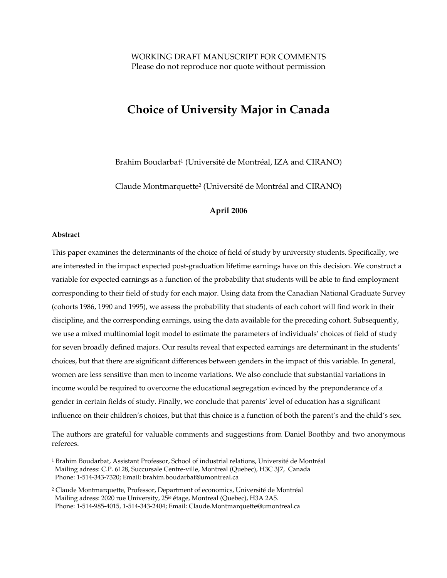# **Choice of University Major in Canada**

Brahim Boudarbat<sup>1</sup> (Université de Montréal, IZA and CIRANO)

Claude Montmarquette2 (Université de Montréal and CIRANO)

## **April 2006**

#### **Abstract**

This paper examines the determinants of the choice of field of study by university students. Specifically, we are interested in the impact expected post-graduation lifetime earnings have on this decision. We construct a variable for expected earnings as a function of the probability that students will be able to find employment corresponding to their field of study for each major. Using data from the Canadian National Graduate Survey (cohorts 1986, 1990 and 1995), we assess the probability that students of each cohort will find work in their discipline, and the corresponding earnings, using the data available for the preceding cohort. Subsequently, we use a mixed multinomial logit model to estimate the parameters of individuals' choices of field of study for seven broadly defined majors. Our results reveal that expected earnings are determinant in the students' choices, but that there are significant differences between genders in the impact of this variable. In general, women are less sensitive than men to income variations. We also conclude that substantial variations in income would be required to overcome the educational segregation evinced by the preponderance of a gender in certain fields of study. Finally, we conclude that parents' level of education has a significant influence on their children's choices, but that this choice is a function of both the parent's and the child's sex.

The authors are grateful for valuable comments and suggestions from Daniel Boothby and two anonymous referees.

2 Claude Montmarquette, Professor, Department of economics, Université de Montréal Mailing adress: 2020 rue University, 25ie étage, Montreal (Quebec), H3A 2A5. Phone: 1-514-985-4015, 1-514-343-2404; Email: Claude.Montmarquette@umontreal.ca

<sup>1</sup> Brahim Boudarbat, Assistant Professor, School of industrial relations, Université de Montréal Mailing adress: C.P. 6128, Succursale Centre-ville, Montreal (Quebec), H3C 3J7, Canada Phone: 1-514-343-7320; Email: brahim.boudarbat@umontreal.ca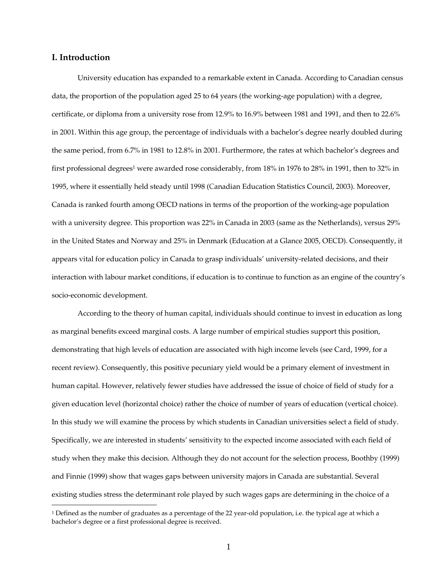## **I. Introduction**

 $\overline{a}$ 

University education has expanded to a remarkable extent in Canada. According to Canadian census data, the proportion of the population aged 25 to 64 years (the working-age population) with a degree, certificate, or diploma from a university rose from 12.9% to 16.9% between 1981 and 1991, and then to 22.6% in 2001. Within this age group, the percentage of individuals with a bachelor's degree nearly doubled during the same period, from 6.7% in 1981 to 12.8% in 2001. Furthermore, the rates at which bachelor's degrees and first professional degrees<sup>1</sup> were awarded rose considerably, from 18% in 1976 to 28% in 1991, then to 32% in 1995, where it essentially held steady until 1998 (Canadian Education Statistics Council, 2003). Moreover, Canada is ranked fourth among OECD nations in terms of the proportion of the working-age population with a university degree. This proportion was 22% in Canada in 2003 (same as the Netherlands), versus 29% in the United States and Norway and 25% in Denmark (Education at a Glance 2005, OECD). Consequently, it appears vital for education policy in Canada to grasp individuals' university-related decisions, and their interaction with labour market conditions, if education is to continue to function as an engine of the country's socio-economic development.

According to the theory of human capital, individuals should continue to invest in education as long as marginal benefits exceed marginal costs. A large number of empirical studies support this position, demonstrating that high levels of education are associated with high income levels (see Card, 1999, for a recent review). Consequently, this positive pecuniary yield would be a primary element of investment in human capital. However, relatively fewer studies have addressed the issue of choice of field of study for a given education level (horizontal choice) rather the choice of number of years of education (vertical choice). In this study we will examine the process by which students in Canadian universities select a field of study. Specifically, we are interested in students' sensitivity to the expected income associated with each field of study when they make this decision. Although they do not account for the selection process, Boothby (1999) and Finnie (1999) show that wages gaps between university majors in Canada are substantial. Several existing studies stress the determinant role played by such wages gaps are determining in the choice of a

<sup>&</sup>lt;sup>1</sup> Defined as the number of graduates as a percentage of the 22 year-old population, i.e. the typical age at which a bachelor's degree or a first professional degree is received.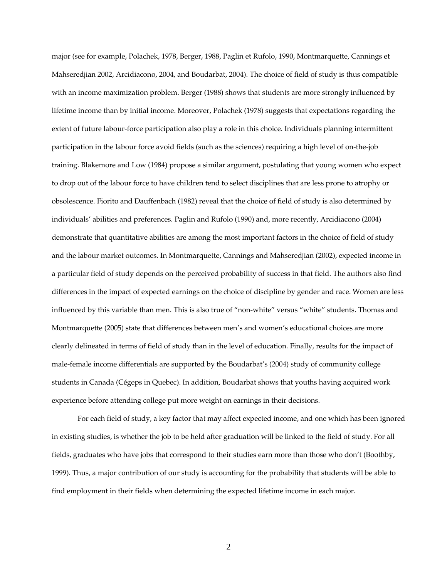major (see for example, Polachek, 1978, Berger, 1988, Paglin et Rufolo, 1990, Montmarquette, Cannings et Mahseredjian 2002, Arcidiacono, 2004, and Boudarbat, 2004). The choice of field of study is thus compatible with an income maximization problem. Berger (1988) shows that students are more strongly influenced by lifetime income than by initial income. Moreover, Polachek (1978) suggests that expectations regarding the extent of future labour-force participation also play a role in this choice. Individuals planning intermittent participation in the labour force avoid fields (such as the sciences) requiring a high level of on-the-job training. Blakemore and Low (1984) propose a similar argument, postulating that young women who expect to drop out of the labour force to have children tend to select disciplines that are less prone to atrophy or obsolescence. Fiorito and Dauffenbach (1982) reveal that the choice of field of study is also determined by individuals' abilities and preferences. Paglin and Rufolo (1990) and, more recently, Arcidiacono (2004) demonstrate that quantitative abilities are among the most important factors in the choice of field of study and the labour market outcomes. In Montmarquette, Cannings and Mahseredjian (2002), expected income in a particular field of study depends on the perceived probability of success in that field. The authors also find differences in the impact of expected earnings on the choice of discipline by gender and race. Women are less influenced by this variable than men. This is also true of "non-white" versus "white" students. Thomas and Montmarquette (2005) state that differences between men's and women's educational choices are more clearly delineated in terms of field of study than in the level of education. Finally, results for the impact of male-female income differentials are supported by the Boudarbat's (2004) study of community college students in Canada (Cégeps in Quebec). In addition, Boudarbat shows that youths having acquired work experience before attending college put more weight on earnings in their decisions.

For each field of study, a key factor that may affect expected income, and one which has been ignored in existing studies, is whether the job to be held after graduation will be linked to the field of study. For all fields, graduates who have jobs that correspond to their studies earn more than those who don't (Boothby, 1999). Thus, a major contribution of our study is accounting for the probability that students will be able to find employment in their fields when determining the expected lifetime income in each major.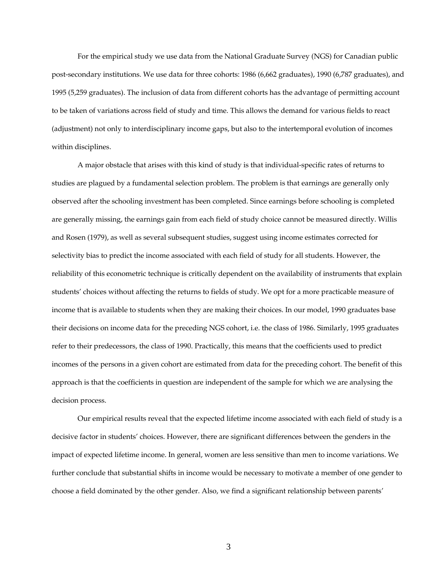For the empirical study we use data from the National Graduate Survey (NGS) for Canadian public post-secondary institutions. We use data for three cohorts: 1986 (6,662 graduates), 1990 (6,787 graduates), and 1995 (5,259 graduates). The inclusion of data from different cohorts has the advantage of permitting account to be taken of variations across field of study and time. This allows the demand for various fields to react (adjustment) not only to interdisciplinary income gaps, but also to the intertemporal evolution of incomes within disciplines.

A major obstacle that arises with this kind of study is that individual-specific rates of returns to studies are plagued by a fundamental selection problem. The problem is that earnings are generally only observed after the schooling investment has been completed. Since earnings before schooling is completed are generally missing, the earnings gain from each field of study choice cannot be measured directly. Willis and Rosen (1979), as well as several subsequent studies, suggest using income estimates corrected for selectivity bias to predict the income associated with each field of study for all students. However, the reliability of this econometric technique is critically dependent on the availability of instruments that explain students' choices without affecting the returns to fields of study. We opt for a more practicable measure of income that is available to students when they are making their choices. In our model, 1990 graduates base their decisions on income data for the preceding NGS cohort, i.e. the class of 1986. Similarly, 1995 graduates refer to their predecessors, the class of 1990. Practically, this means that the coefficients used to predict incomes of the persons in a given cohort are estimated from data for the preceding cohort. The benefit of this approach is that the coefficients in question are independent of the sample for which we are analysing the decision process.

Our empirical results reveal that the expected lifetime income associated with each field of study is a decisive factor in students' choices. However, there are significant differences between the genders in the impact of expected lifetime income. In general, women are less sensitive than men to income variations. We further conclude that substantial shifts in income would be necessary to motivate a member of one gender to choose a field dominated by the other gender. Also, we find a significant relationship between parents'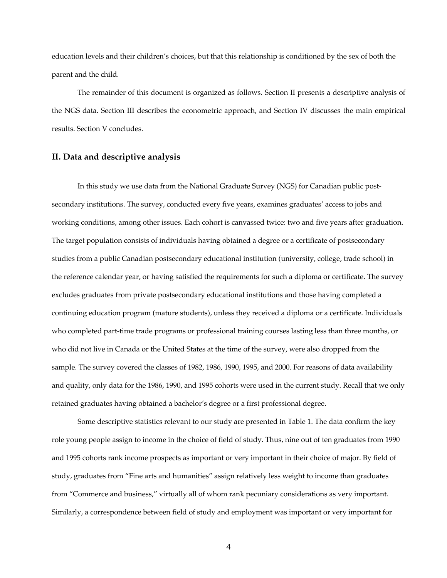education levels and their children's choices, but that this relationship is conditioned by the sex of both the parent and the child.

The remainder of this document is organized as follows. Section II presents a descriptive analysis of the NGS data. Section III describes the econometric approach, and Section IV discusses the main empirical results. Section V concludes.

## **II. Data and descriptive analysis**

In this study we use data from the National Graduate Survey (NGS) for Canadian public postsecondary institutions. The survey, conducted every five years, examines graduates' access to jobs and working conditions, among other issues. Each cohort is canvassed twice: two and five years after graduation. The target population consists of individuals having obtained a degree or a certificate of postsecondary studies from a public Canadian postsecondary educational institution (university, college, trade school) in the reference calendar year, or having satisfied the requirements for such a diploma or certificate. The survey excludes graduates from private postsecondary educational institutions and those having completed a continuing education program (mature students), unless they received a diploma or a certificate. Individuals who completed part-time trade programs or professional training courses lasting less than three months, or who did not live in Canada or the United States at the time of the survey, were also dropped from the sample. The survey covered the classes of 1982, 1986, 1990, 1995, and 2000. For reasons of data availability and quality, only data for the 1986, 1990, and 1995 cohorts were used in the current study. Recall that we only retained graduates having obtained a bachelor's degree or a first professional degree.

Some descriptive statistics relevant to our study are presented in Table 1. The data confirm the key role young people assign to income in the choice of field of study. Thus, nine out of ten graduates from 1990 and 1995 cohorts rank income prospects as important or very important in their choice of major. By field of study, graduates from "Fine arts and humanities" assign relatively less weight to income than graduates from "Commerce and business," virtually all of whom rank pecuniary considerations as very important. Similarly, a correspondence between field of study and employment was important or very important for

4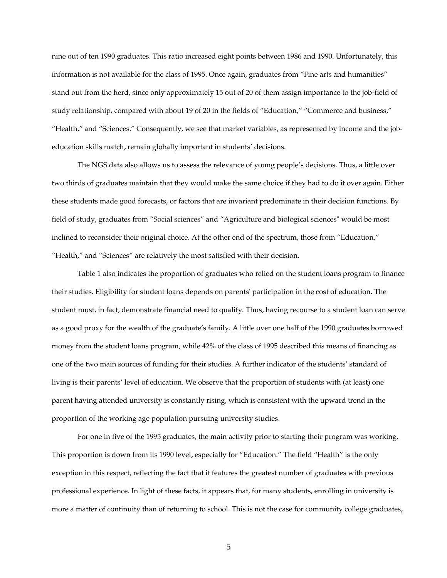nine out of ten 1990 graduates. This ratio increased eight points between 1986 and 1990. Unfortunately, this information is not available for the class of 1995. Once again, graduates from "Fine arts and humanities" stand out from the herd, since only approximately 15 out of 20 of them assign importance to the job-field of study relationship, compared with about 19 of 20 in the fields of "Education," "Commerce and business," "Health," and "Sciences." Consequently, we see that market variables, as represented by income and the jobeducation skills match, remain globally important in students' decisions.

The NGS data also allows us to assess the relevance of young people's decisions. Thus, a little over two thirds of graduates maintain that they would make the same choice if they had to do it over again. Either these students made good forecasts, or factors that are invariant predominate in their decision functions. By field of study, graduates from "Social sciences" and "Agriculture and biological sciences" would be most inclined to reconsider their original choice. At the other end of the spectrum, those from "Education," "Health," and "Sciences" are relatively the most satisfied with their decision.

Table 1 also indicates the proportion of graduates who relied on the student loans program to finance their studies. Eligibility for student loans depends on parents' participation in the cost of education. The student must, in fact, demonstrate financial need to qualify. Thus, having recourse to a student loan can serve as a good proxy for the wealth of the graduate's family. A little over one half of the 1990 graduates borrowed money from the student loans program, while 42% of the class of 1995 described this means of financing as one of the two main sources of funding for their studies. A further indicator of the students' standard of living is their parents' level of education. We observe that the proportion of students with (at least) one parent having attended university is constantly rising, which is consistent with the upward trend in the proportion of the working age population pursuing university studies.

For one in five of the 1995 graduates, the main activity prior to starting their program was working. This proportion is down from its 1990 level, especially for "Education." The field "Health" is the only exception in this respect, reflecting the fact that it features the greatest number of graduates with previous professional experience. In light of these facts, it appears that, for many students, enrolling in university is more a matter of continuity than of returning to school. This is not the case for community college graduates,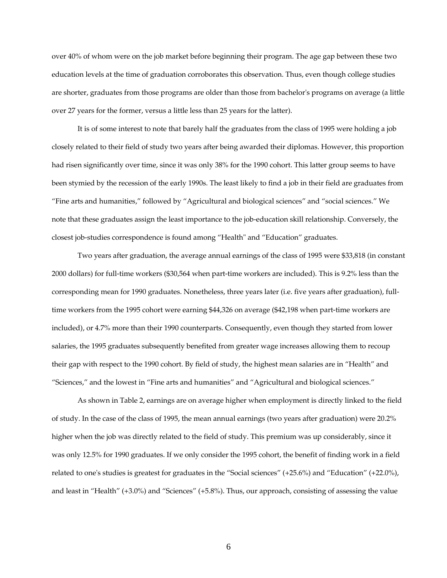over 40% of whom were on the job market before beginning their program. The age gap between these two education levels at the time of graduation corroborates this observation. Thus, even though college studies are shorter, graduates from those programs are older than those from bachelor's programs on average (a little over 27 years for the former, versus a little less than 25 years for the latter).

It is of some interest to note that barely half the graduates from the class of 1995 were holding a job closely related to their field of study two years after being awarded their diplomas. However, this proportion had risen significantly over time, since it was only 38% for the 1990 cohort. This latter group seems to have been stymied by the recession of the early 1990s. The least likely to find a job in their field are graduates from "Fine arts and humanities," followed by "Agricultural and biological sciences" and "social sciences." We note that these graduates assign the least importance to the job-education skill relationship. Conversely, the closest job-studies correspondence is found among "Health" and "Education" graduates.

Two years after graduation, the average annual earnings of the class of 1995 were \$33,818 (in constant 2000 dollars) for full-time workers (\$30,564 when part-time workers are included). This is 9.2% less than the corresponding mean for 1990 graduates. Nonetheless, three years later (i.e. five years after graduation), fulltime workers from the 1995 cohort were earning \$44,326 on average (\$42,198 when part-time workers are included), or 4.7% more than their 1990 counterparts. Consequently, even though they started from lower salaries, the 1995 graduates subsequently benefited from greater wage increases allowing them to recoup their gap with respect to the 1990 cohort. By field of study, the highest mean salaries are in "Health" and "Sciences," and the lowest in "Fine arts and humanities" and "Agricultural and biological sciences."

As shown in Table 2, earnings are on average higher when employment is directly linked to the field of study. In the case of the class of 1995, the mean annual earnings (two years after graduation) were 20.2% higher when the job was directly related to the field of study. This premium was up considerably, since it was only 12.5% for 1990 graduates. If we only consider the 1995 cohort, the benefit of finding work in a field related to one's studies is greatest for graduates in the "Social sciences" (+25.6%) and "Education" (+22.0%), and least in "Health" (+3.0%) and "Sciences" (+5.8%). Thus, our approach, consisting of assessing the value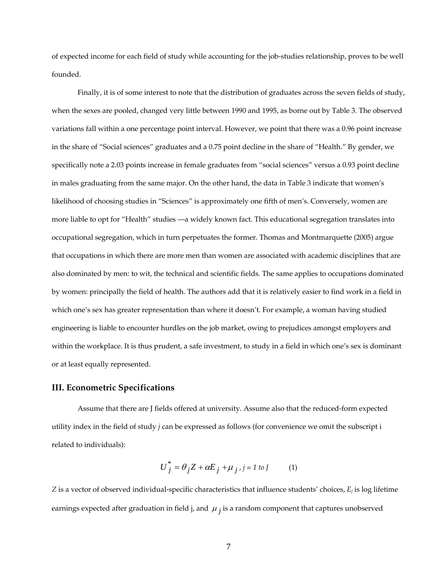of expected income for each field of study while accounting for the job-studies relationship, proves to be well founded.

Finally, it is of some interest to note that the distribution of graduates across the seven fields of study, when the sexes are pooled, changed very little between 1990 and 1995, as borne out by Table 3. The observed variations fall within a one percentage point interval. However, we point that there was a 0.96 point increase in the share of "Social sciences" graduates and a 0.75 point decline in the share of "Health." By gender, we specifically note a 2.03 points increase in female graduates from "social sciences" versus a 0.93 point decline in males graduating from the same major. On the other hand, the data in Table 3 indicate that women's likelihood of choosing studies in "Sciences" is approximately one fifth of men's. Conversely, women are more liable to opt for "Health" studies —a widely known fact. This educational segregation translates into occupational segregation, which in turn perpetuates the former. Thomas and Montmarquette (2005) argue that occupations in which there are more men than women are associated with academic disciplines that are also dominated by men: to wit, the technical and scientific fields. The same applies to occupations dominated by women: principally the field of health. The authors add that it is relatively easier to find work in a field in which one's sex has greater representation than where it doesn't. For example, a woman having studied engineering is liable to encounter hurdles on the job market, owing to prejudices amongst employers and within the workplace. It is thus prudent, a safe investment, to study in a field in which one's sex is dominant or at least equally represented.

## **III. Econometric Specifications**

Assume that there are J fields offered at university. Assume also that the reduced-form expected utility index in the field of study *j* can be expressed as follows (for convenience we omit the subscript i related to individuals):

$$
U_j^* = \theta_j Z + \alpha E_j + \mu_j, j = 1 \text{ to } J \tag{1}
$$

*Z* is a vector of observed individual-specific characteristics that influence students' choices, *Ej* is log lifetime earnings expected after graduation in field j, and  $\mu_j$  is a random component that captures unobserved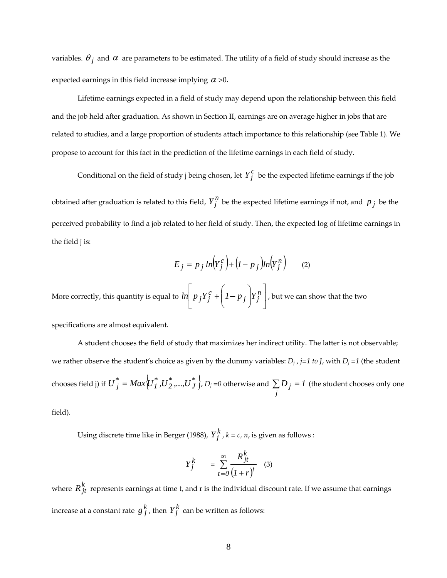variables.  $\theta_j$  and  $\alpha$  are parameters to be estimated. The utility of a field of study should increase as the expected earnings in this field increase implying  $\alpha > 0$ .

Lifetime earnings expected in a field of study may depend upon the relationship between this field and the job held after graduation. As shown in Section II, earnings are on average higher in jobs that are related to studies, and a large proportion of students attach importance to this relationship (see Table 1). We propose to account for this fact in the prediction of the lifetime earnings in each field of study.

Conditional on the field of study j being chosen, let  $Y_i^c$  be the expected lifetime earnings if the job obtained after graduation is related to this field,  $Y_j^n$  be the expected lifetime earnings if not, and  $p_j$  be the perceived probability to find a job related to her field of study. Then, the expected log of lifetime earnings in the field j is:

$$
E_j = p_j ln(Y_j^c) + (I - p_j)ln(Y_j^n)
$$
 (2)

More correctly, this quantity is equal to  $ln|p|_j Y_j^c + |p|_j |Y_j^n|$  $\overline{\phantom{a}}$  $\left[ p_j Y_j^c + \left( I - p_j \right) Y_j^n \right]$ ⎣  $\mathsf{L}$  $\sqrt{ }$ ⎠ ⎞  $\parallel$ ⎝  $\int ln \left( p_j Y_j^c + \left( I - p_j \right) Y_j^n \right)$  , but we can show that the two

specifications are almost equivalent.

A student chooses the field of study that maximizes her indirect utility. The latter is not observable; we rather observe the student's choice as given by the dummy variables:  $D_i$ ,  $j=1$  to *J*, with  $D_j = 1$  (the student chooses field j) if  ${U}_{j}^{*} = Max\overline{\left\langle {{U}_{I}^{*}},{{U}_{2}^{*}},...,{{U}_{J}^{*}} \right\rangle},$   $D_{j}$  =0 otherwise and  $\sum D_{j} = I$ *j*  $\sum D_j = I$  (the student chooses only one

field).

Using discrete time like in Berger (1988),  $Y_j^k$ ,  $k = c, n$ , is given as follows :

$$
Y_j^k = \sum_{t=0}^{\infty} \frac{R_{jt}^k}{(1+r)^t}
$$
 (3)

where  $R_{it}^{k}$  represents earnings at time t, and r is the individual discount rate. If we assume that earnings increase at a constant rate  $g_j^k$  , then  $Y_j^k$  can be written as follows: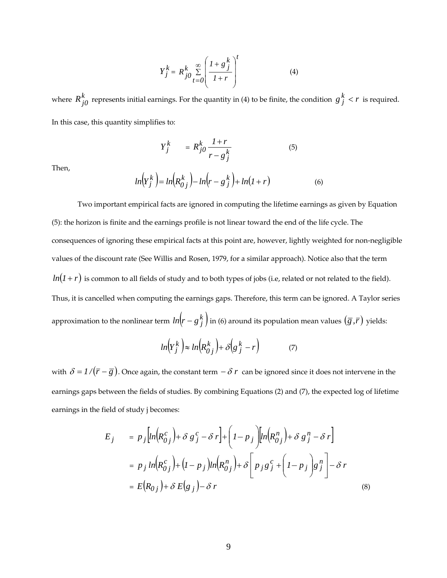$$
Y_j^k = R_{j0}^k \sum_{t=0}^{\infty} \left( \frac{1 + g_j^k}{1 + r} \right)^t
$$
 (4)

where  $R_{j0}^k$  represents initial earnings. For the quantity in (4) to be finite, the condition  $g_j^k < r$  is required. In this case, this quantity simplifies to:

> $Y_j^k = R_{j0}^k \frac{1+r}{r-k}$ *j k*  $R_{j0}^k \frac{1+r}{r-g}$

Then,

$$
ln\left(Y_j^k\right) = ln\left(R_{0j}^k\right) - ln\left(r - g_j^k\right) + ln(1+r)
$$
\n(6)

(5)

Two important empirical facts are ignored in computing the lifetime earnings as given by Equation (5): the horizon is finite and the earnings profile is not linear toward the end of the life cycle. The consequences of ignoring these empirical facts at this point are, however, lightly weighted for non-negligible values of the discount rate (See Willis and Rosen, 1979, for a similar approach). Notice also that the term  $ln(1 + r)$  is common to all fields of study and to both types of jobs (i.e, related or not related to the field). Thus, it is cancelled when computing the earnings gaps. Therefore, this term can be ignored. A Taylor series approximation to the nonlinear term  $ln(r - g \frac{k}{j})$  in (6) around its population mean values  $(\overline{g}, \overline{r})$  yields:

$$
ln(Y_j^k) \approx ln(R_{0j}^k) + \delta(g_j^k - r)
$$
 (7)

with  $\delta = I/(\bar{r} - \bar{g})$ . Once again, the constant term  $-\delta r$  can be ignored since it does not intervene in the earnings gaps between the fields of studies. By combining Equations (2) and (7), the expected log of lifetime earnings in the field of study j becomes:

$$
E_j = p_j \left[ ln(R_{0j}^c) + \delta g_j^c - \delta r \right] + \left( I - p_j \right) \left[ ln(R_{0j}^n) + \delta g_j^n - \delta r \right]
$$
  
=  $p_j ln(R_{0j}^c) + (I - p_j) ln(R_{0j}^n) + \delta \left[ p_j g_j^c + (I - p_j) g_j^n \right] - \delta r$   
=  $E(R_{0j}) + \delta E(g_j) - \delta r$  (8)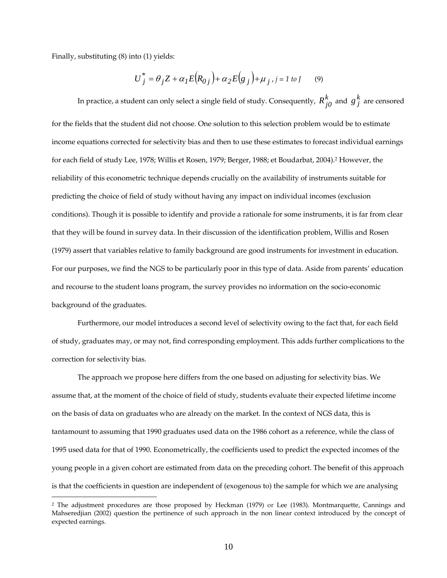Finally, substituting (8) into (1) yields:

 $\overline{a}$ 

$$
U_j^* = \theta_j Z + \alpha_I E(R_{0j}) + \alpha_2 E(g_j) + \mu_j, j = 1 \text{ to } J \qquad (9)
$$

In practice, a student can only select a single field of study. Consequently,  $R_{j0}^k$  and  $g_j^k$  are censored for the fields that the student did not choose. One solution to this selection problem would be to estimate income equations corrected for selectivity bias and then to use these estimates to forecast individual earnings for each field of study Lee, 1978; Willis et Rosen, 1979; Berger, 1988; et Boudarbat, 2004).2 However, the reliability of this econometric technique depends crucially on the availability of instruments suitable for predicting the choice of field of study without having any impact on individual incomes (exclusion conditions). Though it is possible to identify and provide a rationale for some instruments, it is far from clear that they will be found in survey data. In their discussion of the identification problem, Willis and Rosen (1979) assert that variables relative to family background are good instruments for investment in education. For our purposes, we find the NGS to be particularly poor in this type of data. Aside from parents' education and recourse to the student loans program, the survey provides no information on the socio-economic background of the graduates.

Furthermore, our model introduces a second level of selectivity owing to the fact that, for each field of study, graduates may, or may not, find corresponding employment. This adds further complications to the correction for selectivity bias.

The approach we propose here differs from the one based on adjusting for selectivity bias. We assume that, at the moment of the choice of field of study, students evaluate their expected lifetime income on the basis of data on graduates who are already on the market. In the context of NGS data, this is tantamount to assuming that 1990 graduates used data on the 1986 cohort as a reference, while the class of 1995 used data for that of 1990. Econometrically, the coefficients used to predict the expected incomes of the young people in a given cohort are estimated from data on the preceding cohort. The benefit of this approach is that the coefficients in question are independent of (exogenous to) the sample for which we are analysing

<sup>2</sup> The adjustment procedures are those proposed by Heckman (1979) or Lee (1983). Montmarquette, Cannings and Mahseredjian (2002) question the pertinence of such approach in the non linear context introduced by the concept of expected earnings.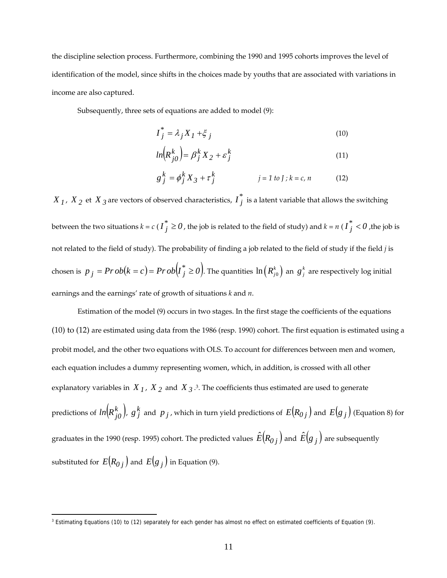the discipline selection process. Furthermore, combining the 1990 and 1995 cohorts improves the level of identification of the model, since shifts in the choices made by youths that are associated with variations in income are also captured.

Subsequently, three sets of equations are added to model (9):

$$
I_j^* = \lambda_j X_I + \xi_j \tag{10}
$$

$$
ln\left(R_{j0}^k\right) = \beta_j^k X_2 + \varepsilon_j^k \tag{11}
$$

$$
g_j^k = \phi_j^k X_3 + \tau_j^k \qquad j = 1 \text{ to } J; k = c, n \qquad (12)
$$

 $X$ <sub>1</sub>,  $X$ <sub>2</sub> et  $X$ <sub>3</sub> are vectors of observed characteristics,  $I_j^*$  is a latent variable that allows the switching between the two situations  $k = c$  (  $I_j^* \ge 0$  , the job is related to the field of study) and  $k = n$  (  $I_j^* < 0$  ,the job is not related to the field of study). The probability of finding a job related to the field of study if the field *j* is chosen is  $p_j = Pr \,ob(k=c)$  =  $Pr \,ob\big( I_j^* \geq 0 \big)$ . The quantities  $\ln \left( R_{j0}^k \right)$  an  $g_j^k$  are respectively log initial earnings and the earnings' rate of growth of situations *k* and *n*.

Estimation of the model (9) occurs in two stages. In the first stage the coefficients of the equations (10) to (12) are estimated using data from the 1986 (resp. 1990) cohort. The first equation is estimated using a probit model, and the other two equations with OLS. To account for differences between men and women, each equation includes a dummy representing women, which, in addition, is crossed with all other explanatory variables in  $X<sub>1</sub>$ ,  $X<sub>2</sub>$  and  $X<sub>3</sub>$ .<sup>3</sup>. The coefficients thus estimated are used to generate predictions of  $\ln\! \left(R_{j0}^k\right)$ ,  $g_j^k$  and  $\,p_j$  , which in turn yield predictions of  $\,E\! \left(R_{0\,j}\right)$  and  $\,E\! \left(g_j\right)$  (Equation 8) for graduates in the 1990 (resp. 1995) cohort. The predicted values  $\hat{E}( R_{0j} )$  and  $\hat{E}( g_j )$  are subsequently substituted for  $E(R_{0,i})$  and  $E(g_i)$  in Equation (9).

<sup>&</sup>lt;sup>3</sup> Estimating Equations (10) to (12) separately for each gender has almost no effect on estimated coefficients of Equation (9).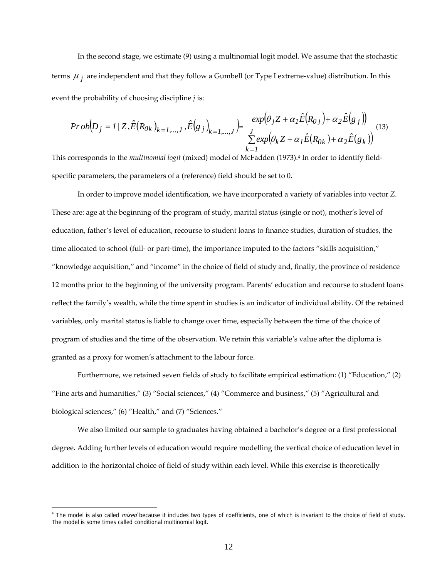In the second stage, we estimate (9) using a multinomial logit model. We assume that the stochastic terms  $\mu_i$  are independent and that they follow a Gumbell (or Type I extreme-value) distribution. In this event the probability of choosing discipline *j* is:

$$
Prob[D_j = 1/Z, \hat{E}(R_{0k})_{k=1,\dots,J}, \hat{E}(g_j)_{k=1,\dots,J}) = \frac{exp(\theta_j Z + \alpha_I \hat{E}(R_{0j}) + \alpha_2 \hat{E}(g_j))}{\sum_{k=1}^{J} exp(\theta_k Z + \alpha_I \hat{E}(R_{0k}) + \alpha_2 \hat{E}(g_k))}
$$
(13)

This corresponds to the *multinomial logit* (mixed) model of McFadden (1973).4 In order to identify fieldspecific parameters, the parameters of a (reference) field should be set to 0.

In order to improve model identification, we have incorporated a variety of variables into vector *Z*. These are: age at the beginning of the program of study, marital status (single or not), mother's level of education, father's level of education, recourse to student loans to finance studies, duration of studies, the time allocated to school (full- or part-time), the importance imputed to the factors "skills acquisition," "knowledge acquisition," and "income" in the choice of field of study and, finally, the province of residence 12 months prior to the beginning of the university program. Parents' education and recourse to student loans reflect the family's wealth, while the time spent in studies is an indicator of individual ability. Of the retained variables, only marital status is liable to change over time, especially between the time of the choice of program of studies and the time of the observation. We retain this variable's value after the diploma is granted as a proxy for women's attachment to the labour force.

Furthermore, we retained seven fields of study to facilitate empirical estimation: (1) "Education," (2) "Fine arts and humanities," (3) "Social sciences," (4) "Commerce and business," (5) "Agricultural and biological sciences," (6) "Health," and (7) "Sciences."

We also limited our sample to graduates having obtained a bachelor's degree or a first professional degree. Adding further levels of education would require modelling the vertical choice of education level in addition to the horizontal choice of field of study within each level. While this exercise is theoretically

<sup>&</sup>lt;sup>4</sup> The model is also called *mixed* because it includes two types of coefficients, one of which is invariant to the choice of field of study. The model is some times called conditional multinomial logit.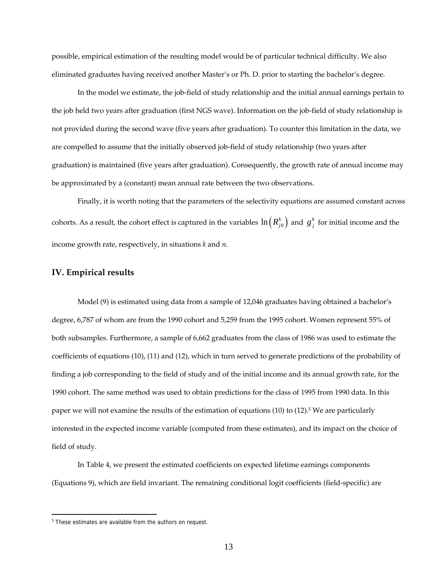possible, empirical estimation of the resulting model would be of particular technical difficulty. We also eliminated graduates having received another Master's or Ph. D. prior to starting the bachelor's degree.

In the model we estimate, the job-field of study relationship and the initial annual earnings pertain to the job held two years after graduation (first NGS wave). Information on the job-field of study relationship is not provided during the second wave (five years after graduation). To counter this limitation in the data, we are compelled to assume that the initially observed job-field of study relationship (two years after graduation) is maintained (five years after graduation). Consequently, the growth rate of annual income may be approximated by a (constant) mean annual rate between the two observations.

Finally, it is worth noting that the parameters of the selectivity equations are assumed constant across cohorts. As a result, the cohort effect is captured in the variables  $\ln\left(R_{j0}^k\right)$  and  $\ g_j^k$  for initial income and the income growth rate, respectively, in situations *k* and *n*.

## **IV. Empirical results**

Model (9) is estimated using data from a sample of 12,046 graduates having obtained a bachelor's degree, 6,787 of whom are from the 1990 cohort and 5,259 from the 1995 cohort. Women represent 55% of both subsamples. Furthermore, a sample of 6,662 graduates from the class of 1986 was used to estimate the coefficients of equations (10), (11) and (12), which in turn served to generate predictions of the probability of finding a job corresponding to the field of study and of the initial income and its annual growth rate, for the 1990 cohort. The same method was used to obtain predictions for the class of 1995 from 1990 data. In this paper we will not examine the results of the estimation of equations (10) to (12).<sup>5</sup> We are particularly interested in the expected income variable (computed from these estimates), and its impact on the choice of field of study.

In Table 4, we present the estimated coefficients on expected lifetime earnings components (Equations 9), which are field invariant. The remaining conditional logit coefficients (field-specific) are

<sup>&</sup>lt;sup>5</sup> These estimates are available from the authors on request.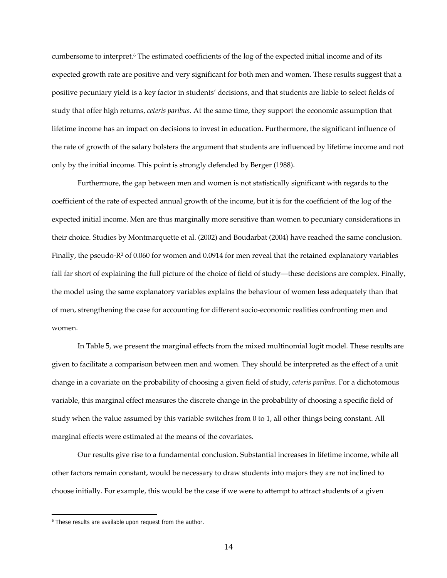cumbersome to interpret.<sup>6</sup> The estimated coefficients of the log of the expected initial income and of its expected growth rate are positive and very significant for both men and women. These results suggest that a positive pecuniary yield is a key factor in students' decisions, and that students are liable to select fields of study that offer high returns, *ceteris paribus*. At the same time, they support the economic assumption that lifetime income has an impact on decisions to invest in education. Furthermore, the significant influence of the rate of growth of the salary bolsters the argument that students are influenced by lifetime income and not only by the initial income. This point is strongly defended by Berger (1988).

Furthermore, the gap between men and women is not statistically significant with regards to the coefficient of the rate of expected annual growth of the income, but it is for the coefficient of the log of the expected initial income. Men are thus marginally more sensitive than women to pecuniary considerations in their choice. Studies by Montmarquette et al. (2002) and Boudarbat (2004) have reached the same conclusion. Finally, the pseudo-R<sup>2</sup> of 0.060 for women and 0.0914 for men reveal that the retained explanatory variables fall far short of explaining the full picture of the choice of field of study—these decisions are complex. Finally, the model using the same explanatory variables explains the behaviour of women less adequately than that of men, strengthening the case for accounting for different socio-economic realities confronting men and women.

In Table 5, we present the marginal effects from the mixed multinomial logit model. These results are given to facilitate a comparison between men and women. They should be interpreted as the effect of a unit change in a covariate on the probability of choosing a given field of study, *ceteris paribus*. For a dichotomous variable, this marginal effect measures the discrete change in the probability of choosing a specific field of study when the value assumed by this variable switches from 0 to 1, all other things being constant. All marginal effects were estimated at the means of the covariates.

Our results give rise to a fundamental conclusion. Substantial increases in lifetime income, while all other factors remain constant, would be necessary to draw students into majors they are not inclined to choose initially. For example, this would be the case if we were to attempt to attract students of a given

<sup>&</sup>lt;sup>6</sup> These results are available upon request from the author.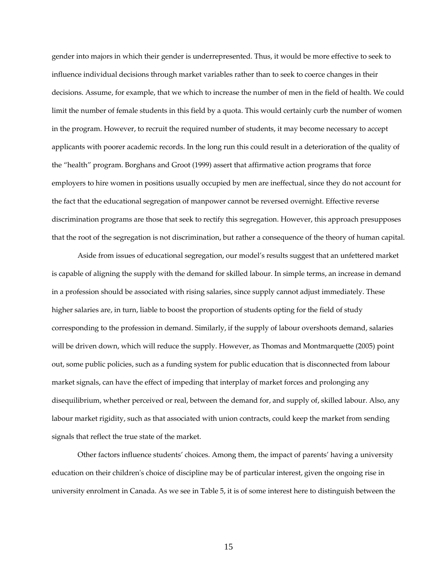gender into majors in which their gender is underrepresented. Thus, it would be more effective to seek to influence individual decisions through market variables rather than to seek to coerce changes in their decisions. Assume, for example, that we which to increase the number of men in the field of health. We could limit the number of female students in this field by a quota. This would certainly curb the number of women in the program. However, to recruit the required number of students, it may become necessary to accept applicants with poorer academic records. In the long run this could result in a deterioration of the quality of the "health" program. Borghans and Groot (1999) assert that affirmative action programs that force employers to hire women in positions usually occupied by men are ineffectual, since they do not account for the fact that the educational segregation of manpower cannot be reversed overnight. Effective reverse discrimination programs are those that seek to rectify this segregation. However, this approach presupposes that the root of the segregation is not discrimination, but rather a consequence of the theory of human capital.

Aside from issues of educational segregation, our model's results suggest that an unfettered market is capable of aligning the supply with the demand for skilled labour. In simple terms, an increase in demand in a profession should be associated with rising salaries, since supply cannot adjust immediately. These higher salaries are, in turn, liable to boost the proportion of students opting for the field of study corresponding to the profession in demand. Similarly, if the supply of labour overshoots demand, salaries will be driven down, which will reduce the supply. However, as Thomas and Montmarquette (2005) point out, some public policies, such as a funding system for public education that is disconnected from labour market signals, can have the effect of impeding that interplay of market forces and prolonging any disequilibrium, whether perceived or real, between the demand for, and supply of, skilled labour. Also, any labour market rigidity, such as that associated with union contracts, could keep the market from sending signals that reflect the true state of the market.

Other factors influence students' choices. Among them, the impact of parents' having a university education on their children's choice of discipline may be of particular interest, given the ongoing rise in university enrolment in Canada. As we see in Table 5, it is of some interest here to distinguish between the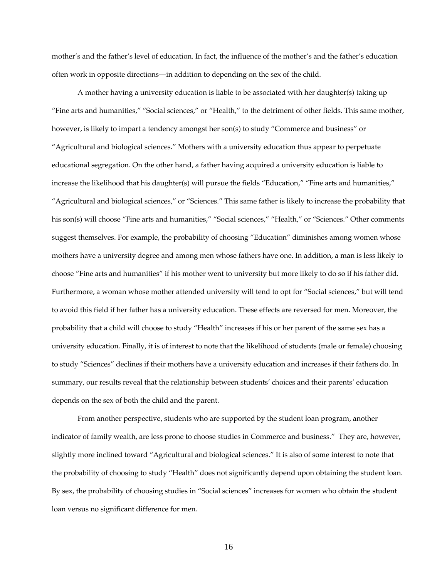mother's and the father's level of education. In fact, the influence of the mother's and the father's education often work in opposite directions—in addition to depending on the sex of the child.

A mother having a university education is liable to be associated with her daughter(s) taking up "Fine arts and humanities," "Social sciences," or "Health," to the detriment of other fields. This same mother, however, is likely to impart a tendency amongst her son(s) to study "Commerce and business" or "Agricultural and biological sciences." Mothers with a university education thus appear to perpetuate educational segregation. On the other hand, a father having acquired a university education is liable to increase the likelihood that his daughter(s) will pursue the fields "Education," "Fine arts and humanities," "Agricultural and biological sciences," or "Sciences." This same father is likely to increase the probability that his son(s) will choose "Fine arts and humanities," "Social sciences," "Health," or "Sciences." Other comments suggest themselves. For example, the probability of choosing "Education" diminishes among women whose mothers have a university degree and among men whose fathers have one. In addition, a man is less likely to choose "Fine arts and humanities" if his mother went to university but more likely to do so if his father did. Furthermore, a woman whose mother attended university will tend to opt for "Social sciences," but will tend to avoid this field if her father has a university education. These effects are reversed for men. Moreover, the probability that a child will choose to study "Health" increases if his or her parent of the same sex has a university education. Finally, it is of interest to note that the likelihood of students (male or female) choosing to study "Sciences" declines if their mothers have a university education and increases if their fathers do. In summary, our results reveal that the relationship between students' choices and their parents' education depends on the sex of both the child and the parent.

From another perspective, students who are supported by the student loan program, another indicator of family wealth, are less prone to choose studies in Commerce and business." They are, however, slightly more inclined toward "Agricultural and biological sciences." It is also of some interest to note that the probability of choosing to study "Health" does not significantly depend upon obtaining the student loan. By sex, the probability of choosing studies in "Social sciences" increases for women who obtain the student loan versus no significant difference for men.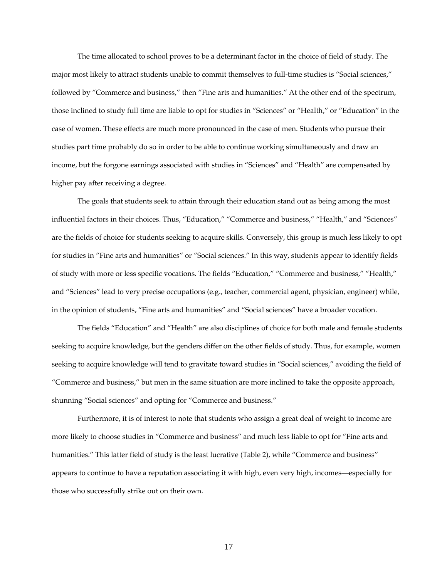The time allocated to school proves to be a determinant factor in the choice of field of study. The major most likely to attract students unable to commit themselves to full-time studies is "Social sciences," followed by "Commerce and business," then "Fine arts and humanities." At the other end of the spectrum, those inclined to study full time are liable to opt for studies in "Sciences" or "Health," or "Education" in the case of women. These effects are much more pronounced in the case of men. Students who pursue their studies part time probably do so in order to be able to continue working simultaneously and draw an income, but the forgone earnings associated with studies in "Sciences" and "Health" are compensated by higher pay after receiving a degree.

The goals that students seek to attain through their education stand out as being among the most influential factors in their choices. Thus, "Education," "Commerce and business," "Health," and "Sciences" are the fields of choice for students seeking to acquire skills. Conversely, this group is much less likely to opt for studies in "Fine arts and humanities" or "Social sciences." In this way, students appear to identify fields of study with more or less specific vocations. The fields "Education," "Commerce and business," "Health," and "Sciences" lead to very precise occupations (e.g., teacher, commercial agent, physician, engineer) while, in the opinion of students, "Fine arts and humanities" and "Social sciences" have a broader vocation.

The fields "Education" and "Health" are also disciplines of choice for both male and female students seeking to acquire knowledge, but the genders differ on the other fields of study. Thus, for example, women seeking to acquire knowledge will tend to gravitate toward studies in "Social sciences," avoiding the field of "Commerce and business," but men in the same situation are more inclined to take the opposite approach, shunning "Social sciences" and opting for "Commerce and business."

Furthermore, it is of interest to note that students who assign a great deal of weight to income are more likely to choose studies in "Commerce and business" and much less liable to opt for "Fine arts and humanities." This latter field of study is the least lucrative (Table 2), while "Commerce and business" appears to continue to have a reputation associating it with high, even very high, incomes—especially for those who successfully strike out on their own.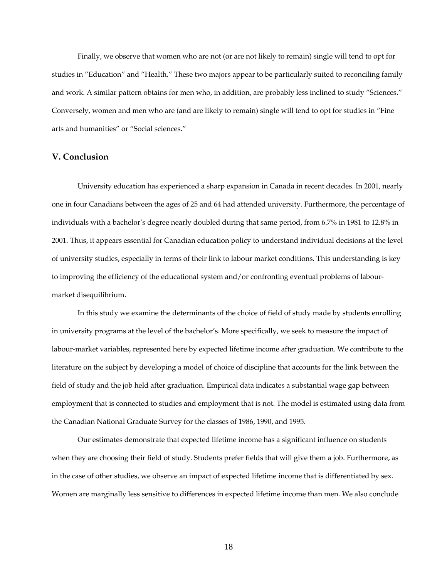Finally, we observe that women who are not (or are not likely to remain) single will tend to opt for studies in "Education" and "Health." These two majors appear to be particularly suited to reconciling family and work. A similar pattern obtains for men who, in addition, are probably less inclined to study "Sciences." Conversely, women and men who are (and are likely to remain) single will tend to opt for studies in "Fine arts and humanities" or "Social sciences."

## **V. Conclusion**

University education has experienced a sharp expansion in Canada in recent decades. In 2001, nearly one in four Canadians between the ages of 25 and 64 had attended university. Furthermore, the percentage of individuals with a bachelor's degree nearly doubled during that same period, from 6.7% in 1981 to 12.8% in 2001. Thus, it appears essential for Canadian education policy to understand individual decisions at the level of university studies, especially in terms of their link to labour market conditions. This understanding is key to improving the efficiency of the educational system and/or confronting eventual problems of labourmarket disequilibrium.

In this study we examine the determinants of the choice of field of study made by students enrolling in university programs at the level of the bachelor's. More specifically, we seek to measure the impact of labour-market variables, represented here by expected lifetime income after graduation. We contribute to the literature on the subject by developing a model of choice of discipline that accounts for the link between the field of study and the job held after graduation. Empirical data indicates a substantial wage gap between employment that is connected to studies and employment that is not. The model is estimated using data from the Canadian National Graduate Survey for the classes of 1986, 1990, and 1995.

Our estimates demonstrate that expected lifetime income has a significant influence on students when they are choosing their field of study. Students prefer fields that will give them a job. Furthermore, as in the case of other studies, we observe an impact of expected lifetime income that is differentiated by sex. Women are marginally less sensitive to differences in expected lifetime income than men. We also conclude

18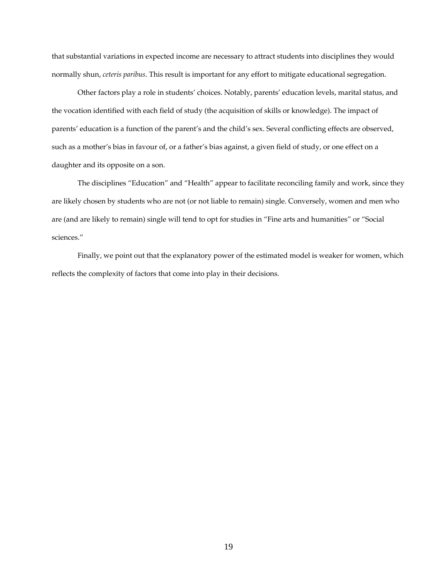that substantial variations in expected income are necessary to attract students into disciplines they would normally shun, *ceteris paribus*. This result is important for any effort to mitigate educational segregation.

Other factors play a role in students' choices. Notably, parents' education levels, marital status, and the vocation identified with each field of study (the acquisition of skills or knowledge). The impact of parents' education is a function of the parent's and the child's sex. Several conflicting effects are observed, such as a mother's bias in favour of, or a father's bias against, a given field of study, or one effect on a daughter and its opposite on a son.

The disciplines "Education" and "Health" appear to facilitate reconciling family and work, since they are likely chosen by students who are not (or not liable to remain) single. Conversely, women and men who are (and are likely to remain) single will tend to opt for studies in "Fine arts and humanities" or "Social sciences."

Finally, we point out that the explanatory power of the estimated model is weaker for women, which reflects the complexity of factors that come into play in their decisions.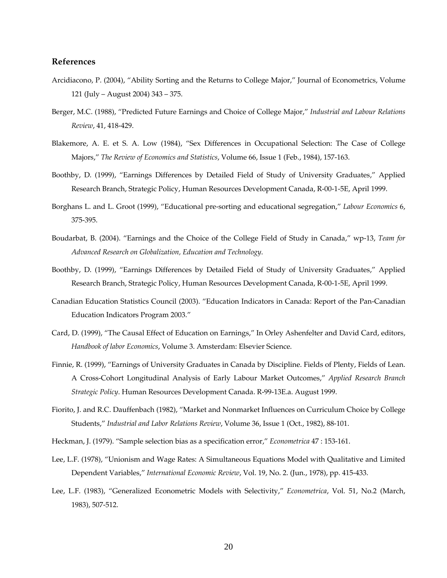## **References**

- Arcidiacono, P. (2004), "Ability Sorting and the Returns to College Major," Journal of Econometrics, Volume 121 (July – August 2004) 343 – 375.
- Berger, M.C. (1988), "Predicted Future Earnings and Choice of College Major," *Industrial and Labour Relations Review*, 41, 418-429.
- Blakemore, A. E. et S. A. Low (1984), "Sex Differences in Occupational Selection: The Case of College Majors," *The Review of Economics and Statistics*, Volume 66, Issue 1 (Feb., 1984), 157-163.
- Boothby, D. (1999), "Earnings Differences by Detailed Field of Study of University Graduates," Applied Research Branch, Strategic Policy, Human Resources Development Canada, R-00-1-5E, April 1999.
- Borghans L. and L. Groot (1999), "Educational pre-sorting and educational segregation," *Labour Economics* 6, 375-395.
- Boudarbat, B. (2004). "Earnings and the Choice of the College Field of Study in Canada," wp-13, *Team for Advanced Research on Globalization, Education and Technology*.
- Boothby, D. (1999), "Earnings Differences by Detailed Field of Study of University Graduates," Applied Research Branch, Strategic Policy, Human Resources Development Canada, R-00-1-5E, April 1999.
- Canadian Education Statistics Council (2003). "Education Indicators in Canada: Report of the Pan-Canadian Education Indicators Program 2003."
- Card, D. (1999), "The Causal Effect of Education on Earnings," In Orley Ashenfelter and David Card, editors, *Handbook of labor Economics*, Volume 3. Amsterdam: Elsevier Science.
- Finnie, R. (1999), "Earnings of University Graduates in Canada by Discipline. Fields of Plenty, Fields of Lean. A Cross-Cohort Longitudinal Analysis of Early Labour Market Outcomes," *Applied Research Branch Strategic Policy*. Human Resources Development Canada. R-99-13E.a. August 1999.
- Fiorito, J. and R.C. Dauffenbach (1982), "Market and Nonmarket Influences on Curriculum Choice by College Students," *Industrial and Labor Relations Review*, Volume 36, Issue 1 (Oct., 1982), 88-101.
- Heckman, J. (1979). "Sample selection bias as a specification error," *Econometrica* 47 : 153-161.
- Lee, L.F. (1978), "Unionism and Wage Rates: A Simultaneous Equations Model with Qualitative and Limited Dependent Variables," *International Economic Review*, Vol. 19, No. 2. (Jun., 1978), pp. 415-433.
- Lee, L.F. (1983), "Generalized Econometric Models with Selectivity," *Econometrica*, Vol. 51, No.2 (March, 1983), 507-512.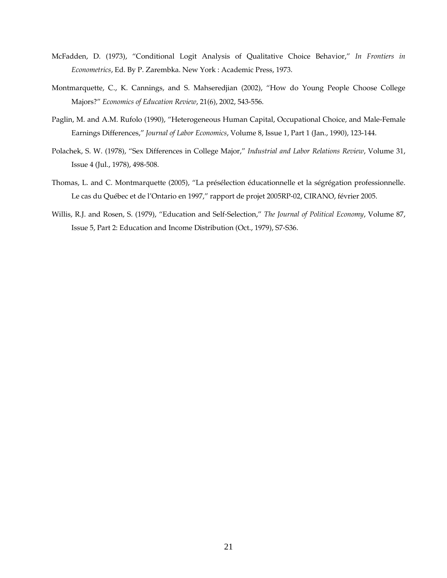- McFadden, D. (1973), "Conditional Logit Analysis of Qualitative Choice Behavior," *In Frontiers in Econometrics*, Ed. By P. Zarembka. New York : Academic Press, 1973.
- Montmarquette, C., K. Cannings, and S. Mahseredjian (2002), "How do Young People Choose College Majors?" *Economics of Education Review*, 21(6), 2002, 543-556.
- Paglin, M. and A.M. Rufolo (1990), "Heterogeneous Human Capital, Occupational Choice, and Male-Female Earnings Differences," *Journal of Labor Economics*, Volume 8, Issue 1, Part 1 (Jan., 1990), 123-144.
- Polachek, S. W. (1978), "Sex Differences in College Major," *Industrial and Labor Relations Review*, Volume 31, Issue 4 (Jul., 1978), 498-508.
- Thomas, L. and C. Montmarquette (2005), "La présélection éducationnelle et la ségrégation professionnelle. Le cas du Québec et de l'Ontario en 1997," rapport de projet 2005RP-02, CIRANO, février 2005.
- Willis, R.J. and Rosen, S. (1979), "Education and Self-Selection," *The Journal of Political Economy*, Volume 87, Issue 5, Part 2: Education and Income Distribution (Oct., 1979), S7-S36.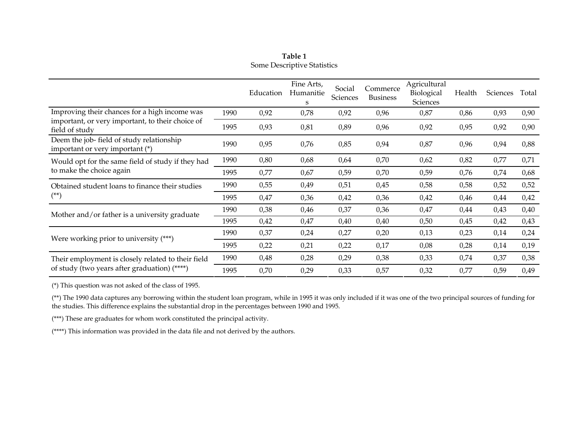| Table 1                     |
|-----------------------------|
| Some Descriptive Statistics |

|                                                                             |      | Education | Fine Arts,<br>Humanitie<br>S | Social<br>Sciences | Commerce<br><b>Business</b> | Agricultural<br>Biological<br>Sciences | Health | <b>Sciences</b> | Total |
|-----------------------------------------------------------------------------|------|-----------|------------------------------|--------------------|-----------------------------|----------------------------------------|--------|-----------------|-------|
| Improving their chances for a high income was                               | 1990 | 0,92      | 0,78                         | 0,92               | 0,96                        | 0,87                                   | 0,86   | 0,93            | 0,90  |
| important, or very important, to their choice of<br>field of study          | 1995 | 0,93      | 0,81                         | 0,89               | 0,96                        | 0,92                                   | 0,95   | 0,92            | 0,90  |
| Deem the job-field of study relationship<br>important or very important (*) | 1990 | 0,95      | 0,76                         | 0,85               | 0,94                        | 0,87                                   | 0,96   | 0,94            | 0,88  |
| Would opt for the same field of study if they had                           | 1990 | 0,80      | 0,68                         | 0,64               | 0,70                        | 0,62                                   | 0,82   | 0,77            | 0,71  |
| to make the choice again                                                    | 1995 | 0,77      | 0,67                         | 0,59               | 0,70                        | 0,59                                   | 0,76   | 0,74            | 0,68  |
| Obtained student loans to finance their studies                             | 1990 | 0,55      | 0,49                         | 0,51               | 0,45                        | 0,58                                   | 0,58   | 0,52            | 0,52  |
| $(**)$                                                                      | 1995 | 0,47      | 0,36                         | 0,42               | 0,36                        | 0,42                                   | 0,46   | 0,44            | 0,42  |
| Mother and/or father is a university graduate                               | 1990 | 0,38      | 0,46                         | 0,37               | 0,36                        | 0,47                                   | 0,44   | 0,43            | 0,40  |
|                                                                             | 1995 | 0,42      | 0,47                         | 0,40               | 0,40                        | 0,50                                   | 0,45   | 0,42            | 0,43  |
| Were working prior to university $(**)$                                     | 1990 | 0,37      | 0,24                         | 0,27               | 0,20                        | 0,13                                   | 0,23   | 0,14            | 0,24  |
|                                                                             | 1995 | 0,22      | 0,21                         | 0,22               | 0,17                        | 0,08                                   | 0,28   | 0,14            | 0,19  |
| Their employment is closely related to their field                          | 1990 | 0,48      | 0,28                         | 0,29               | 0,38                        | 0,33                                   | 0,74   | 0,37            | 0,38  |
| of study (two years after graduation) (****)                                | 1995 | 0,70      | 0,29                         | 0,33               | 0,57                        | 0,32                                   | 0,77   | 0,59            | 0,49  |

(\*) This question was not asked of the class of 1995.

(\*\*) The 1990 data captures any borrowing within the student loan program, while in 1995 it was only included if it was one of the two principal sources of funding for the studies. This difference explains the substantial drop in the percentages between 1990 and 1995.

(\*\*\*) These are graduates for whom work constituted the principal activity.

(\*\*\*\*) This information was provided in the data file and not derived by the authors.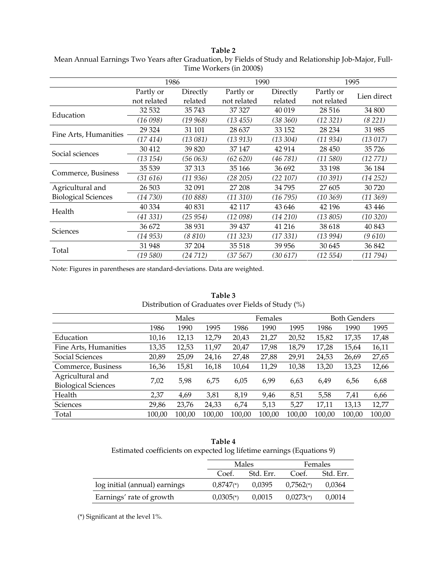**Table 2** Mean Annual Earnings Two Years after Graduation, by Fields of Study and Relationship Job-Major, Full-Time Workers (in 2000\$)

|                            | 1986        |          | 1990        |             | 1995        |             |  |
|----------------------------|-------------|----------|-------------|-------------|-------------|-------------|--|
|                            | Partly or   | Directly | Partly or   | Directly    | Partly or   | Lien direct |  |
|                            | not related | related  | not related | related     | not related |             |  |
| Education                  | 32 532      | 35743    | 37 327      | 40 019      | 28 516      | 34 800      |  |
|                            | (16098)     | (19 968) | (13455)     | (38 360)    | (12 321)    | (8221)      |  |
| Fine Arts, Humanities      | 29 3 24     | 31 101   | 28 637      | 33 152      | 28 234      | 31 985      |  |
|                            | (17414)     | (13 081) | (13913)     | (13, 304)   | (11 934)    | (13017)     |  |
| Social sciences            | 30 412      | 39 820   | 37 147      | 42 914      | 28 450      | 35726       |  |
|                            | (13 154)    | (56 063) | (62 620)    | (46 781)    | (11 580)    | (12 771)    |  |
| Commerce, Business         | 35 539      | 37 313   | 35 166      | 36 692      | 33 198      | 36 184      |  |
|                            | (31 616)    | (11 936) | (28 205)    | (22 107)    | (10 391)    | $(14\,252)$ |  |
| Agricultural and           | 26 503      | 32 091   | 27 208      | 34795       | 27 605      | 30 720      |  |
| <b>Biological Sciences</b> | (14730)     | (10 888) | (11310)     | (16 795)    | (10 369)    | $(11\,369)$ |  |
| Health                     | 40 334      | 40 831   | 42 117      | 43 646      | 42 196      | 43 4 46     |  |
|                            | (41 331)    | (25 954) | (12 098)    | $(14\,210)$ | (13 805)    | (10 320)    |  |
|                            | 36 672      | 38 931   | 39 437      | 41 216      | 38 618      | 40 843      |  |
| Sciences                   | (14 953)    | (8 810)  | (11 323)    | (17 331)    | (13 994)    | (9 610)     |  |
| Total                      | 31 948      | 37 204   | 35 518      | 39 956      | 30 645      | 36 842      |  |
|                            | (19 580)    | (24 712) | (37 567)    | (30 617)    | (12 554)    | (11794)     |  |

Note: Figures in parentheses are standard-deviations. Data are weighted.

| Distribution of Graduates over Fields of Study (%) |        |        |        |        |         |        |                     |        |        |  |
|----------------------------------------------------|--------|--------|--------|--------|---------|--------|---------------------|--------|--------|--|
|                                                    |        | Males  |        |        | Females |        | <b>Both Genders</b> |        |        |  |
|                                                    | 1986   | 1990   | 1995   | 1986   | 1990    | 1995   | 1986                | 1990   | 1995   |  |
| Education                                          | 10,16  | 12,13  | 12,79  | 20,43  | 21,27   | 20,52  | 15,82               | 17,35  | 17,48  |  |
| Fine Arts, Humanities                              | 13,35  | 12,53  | 11,97  | 20,47  | 17,98   | 18,79  | 17,28               | 15,64  | 16,11  |  |
| Social Sciences                                    | 20,89  | 25,09  | 24,16  | 27,48  | 27,88   | 29,91  | 24,53               | 26,69  | 27,65  |  |
| Commerce, Business                                 | 16,36  | 15,81  | 16,18  | 10,64  | 11,29   | 10,38  | 13,20               | 13,23  | 12,66  |  |
| Agricultural and<br><b>Biological Sciences</b>     | 7,02   | 5,98   | 6,75   | 6,05   | 6,99    | 6,63   | 6,49                | 6,56   | 6,68   |  |
| Health                                             | 2,37   | 4,69   | 3,81   | 8,19   | 9,46    | 8,51   | 5,58                | 7,41   | 6,66   |  |
| Sciences                                           | 29,86  | 23,76  | 24,33  | 6,74   | 5,13    | 5,27   | 17,11               | 13,13  | 12,77  |  |
| Total                                              | 100,00 | 100,00 | 100,00 | 100.00 | 100.00  | 100.00 | 100.00              | 100.00 | 100,00 |  |

## **Table 3**  Distribution of Graduates over Fields of Study (%)

| Table 4                                                                |  |
|------------------------------------------------------------------------|--|
| Estimated coefficients on expected log lifetime earnings (Equations 9) |  |

|                               |                         | Males     | Females                 |           |  |
|-------------------------------|-------------------------|-----------|-------------------------|-----------|--|
|                               | Coef.                   | Std. Err. | Coef.                   | Std. Err. |  |
| log initial (annual) earnings | $0.8747$ <sup>*</sup> ) | 0,0395    | $0.7562$ <sup>*</sup> ) | 0.0364    |  |
| Earnings' rate of growth      | $0.0305$ <sup>(*)</sup> | 0,0015    | $0.0273$ <sup>*</sup> ) | 0,0014    |  |

(\*) Significant at the level 1%.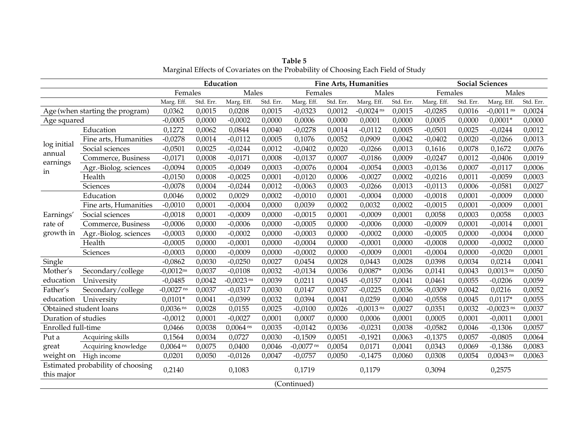|                       |                                   |                         | Education | <b>Fine Arts, Humanities</b> |           |              |           | <b>Social Sciences</b> |           |            |           |                        |           |
|-----------------------|-----------------------------------|-------------------------|-----------|------------------------------|-----------|--------------|-----------|------------------------|-----------|------------|-----------|------------------------|-----------|
|                       |                                   | Females                 |           | Males                        |           | Females      |           | Males                  |           | Females    |           | Males                  |           |
|                       |                                   | Marg. Eff.              | Std. Err. | Marg. Eff.                   | Std. Err. | Marg. Eff.   | Std. Err. | Marg. Eff.             | Std. Err. | Marg. Eff. | Std. Err. | Marg. Eff.             | Std. Err. |
|                       | Age (when starting the program)   | 0,0362                  | 0,0015    | 0,0208                       | 0,0015    | $-0,0323$    | 0,0012    | $-0,0024$ ns           | 0,0015    | $-0,0285$  | 0,0016    | $-0,0011$ ns           | 0,0024    |
| Age squared           |                                   | $-0,0005$               | 0,0000    | $-0,0002$                    | 0,0000    | 0,0006       | 0,0000    | 0,0001                 | 0,0000    | 0,0005     | 0,0000    | $0,0001*$              | 0,0000    |
|                       | Education                         | 0,1272                  | 0,0062    | 0,0844                       | 0,0040    | $-0,0278$    | 0,0014    | $-0,0112$              | 0,0005    | $-0,0501$  | 0,0025    | $-0,0244$              | 0,0012    |
|                       | Fine arts, Humanities             | $-0,0278$               | 0,0014    | $-0,0112$                    | 0,0005    | 0,1076       | 0,0052    | 0,0909                 | 0,0042    | $-0,0402$  | 0,0020    | $-0,0266$              | 0,0013    |
| log initial<br>annual | Social sciences                   | $-0,0501$               | 0,0025    | $-0,0244$                    | 0,0012    | $-0,0402$    | 0,0020    | $-0,0266$              | 0,0013    | 0,1616     | 0,0078    | 0,1672                 | 0,0076    |
| earnings              | Commerce, Business                | $-0,0171$               | 0,0008    | $-0,0171$                    | 0,0008    | $-0,0137$    | 0,0007    | $-0,0186$              | 0,0009    | $-0,0247$  | 0,0012    | $-0,0406$              | 0,0019    |
| in                    | Agr.-Biolog. sciences             | $-0,0094$               | 0,0005    | $-0,0049$                    | 0,0003    | $-0,0076$    | 0,0004    | $-0,0054$              | 0,0003    | $-0,0136$  | 0,0007    | $-0,0117$              | 0,0006    |
|                       | Health                            | $-0,0150$               | 0,0008    | $-0,0025$                    | 0,0001    | $-0,0120$    | 0,0006    | $-0,0027$              | 0,0002    | $-0,0216$  | 0,0011    | $-0,0059$              | 0,0003    |
|                       | Sciences                          | $-0,0078$               | 0,0004    | $-0,0244$                    | 0,0012    | $-0,0063$    | 0.0003    | $-0,0266$              | 0,0013    | $-0,0113$  | 0,0006    | $-0,0581$              | 0,0027    |
|                       | Education                         | 0,0046                  | 0,0002    | 0,0029                       | 0,0002    | $-0,0010$    | 0,0001    | $-0,0004$              | 0,0000    | $-0,0018$  | 0,0001    | $-0,0009$              | 0,0000    |
|                       | Fine arts, Humanities             | $-0,0010$               | 0,0001    | $-0,0004$                    | 0,0000    | 0,0039       | 0,0002    | 0,0032                 | 0,0002    | $-0,0015$  | 0,0001    | $-0,0009$              | 0,0001    |
| Earnings'             | Social sciences                   | $-0,0018$               | 0,0001    | $-0,0009$                    | 0,0000    | $-0,0015$    | 0,0001    | $-0,0009$              | 0,0001    | 0,0058     | 0,0003    | 0,0058                 | 0,0003    |
| rate of               | Commerce, Business                | $-0,0006$               | 0,0000    | $-0,0006$                    | 0,0000    | $-0,0005$    | 0,0000    | $-0,0006$              | 0,0000    | $-0,0009$  | 0,0001    | $-0,0014$              | 0,0001    |
| growth in             | Agr.-Biolog. sciences             | $-0,0003$               | 0,0000    | $-0,0002$                    | 0,0000    | $-0,0003$    | 0,0000    | $-0,0002$              | 0,0000    | $-0,0005$  | 0,0000    | $-0,0004$              | 0,0000    |
|                       | Health                            | $-0,0005$               | 0,0000    | $-0,0001$                    | 0,0000    | $-0,0004$    | 0,0000    | $-0,0001$              | 0,0000    | $-0,0008$  | 0,0000    | $-0,0002$              | 0,0000    |
|                       | Sciences                          | $-0,0003$               | 0,0000    | $-0,0009$                    | 0,0000    | $-0,0002$    | 0,0000    | $-0,0009$              | 0,0001    | $-0,0004$  | 0,0000    | $-0,0020$              | 0,0001    |
| Single                |                                   | $-0,0862$               | 0,0030    | $-0,0250$                    | 0,0027    | 0,0454       | 0,0028    | 0,0443                 | 0,0028    | 0,0398     | 0,0034    | 0,0214                 | 0,0041    |
| Mother's              | Secondary/college                 | $-0,0012$ <sup>ns</sup> | 0,0037    | $-0,0108$                    | 0,0032    | $-0,0134$    | 0,0036    | $0,0087*$              | 0,0036    | 0,0141     | 0,0043    | $0,0013$ <sup>ns</sup> | 0,0050    |
| education             | University                        | $-0,0485$               | 0,0042    | $-0,0023$ <sup>ns</sup>      | 0,0039    | 0,0211       | 0,0045    | $-0,0157$              | 0,0041    | 0,0461     | 0,0055    | $-0,0206$              | 0,0059    |
| Father's              | Secondary/college                 | $-0,0027$ ns            | 0,0037    | $-0,0317$                    | 0,0030    | 0,0147       | 0,0037    | $-0,0225$              | 0,0036    | $-0,0309$  | 0,0042    | 0,0216                 | 0,0052    |
|                       | education University              | $0,0101*$               | 0,0041    | $-0,0399$                    | 0,0032    | 0,0394       | 0,0041    | 0,0259                 | 0,0040    | $-0,0558$  | 0,0045    | $0,0117*$              | 0,0055    |
|                       | Obtained student loans            | $0,0036$ <sup>ns</sup>  | 0,0028    | 0,0155                       | 0,0025    | $-0,0100$    | 0,0026    | $-0,0013$ ns           | 0,0027    | 0,0351     | 0,0032    | $-0,0023$ ns           | 0,0037    |
| Duration of studies   |                                   | $-0,0012$               | 0,0001    | $-0,0027$                    | 0,0001    | 0,0007       | 0,0000    | 0,0006                 | 0,0001    | 0,0005     | 0,0001    | $-0,0011$              | 0,0001    |
| Enrolled full-time    |                                   | 0,0466                  | 0,0038    | $0,0064$ ns                  | 0,0035    | $-0.0142$    | 0,0036    | $-0,0231$              | 0,0038    | $-0,0582$  | 0,0046    | $-0,1306$              | 0,0057    |
| Put a                 | Acquiring skills                  | 0,1564                  | 0,0034    | 0,0727                       | 0,0030    | $-0,1509$    | 0,0051    | $-0,1921$              | 0,0063    | $-0,1375$  | 0,0057    | $-0,0805$              | 0,0064    |
| great                 | Acquiring knowledge               | $0,0064$ ns             | 0,0075    | 0,0400                       | 0,0046    | $-0,0077$ ns | 0,0054    | 0,0171                 | 0,0041    | 0,0343     | 0,0069    | $-0,1386$              | 0,0083    |
|                       | weight on High income             | 0,0201                  | 0,0050    | $-0,0126$                    | 0,0047    | $-0,0757$    | 0,0050    | $-0,1475$              | 0,0060    | 0,0308     | 0,0054    | $0,0043$ ns            | 0,0063    |
|                       | Estimated probability of choosing | 0,2140                  |           | 0,1083                       |           | 0,1719       |           | 0,1179                 |           | 0,3094     |           | 0,2575                 |           |
| this major            |                                   |                         |           |                              |           |              |           |                        |           |            |           |                        |           |
|                       | (Continued)                       |                         |           |                              |           |              |           |                        |           |            |           |                        |           |

**Table 5**  Marginal Effects of Covariates on the Probability of Choosing Each Field of Study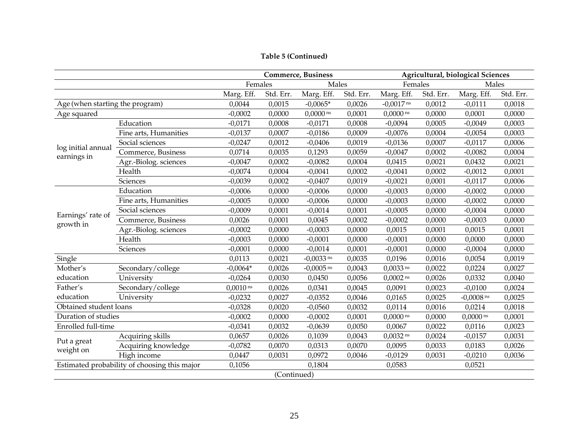## **Table 5 (Continued)**

|                                 |                                              |             |             | <b>Commerce, Business</b> |           | Agricultural, biological Sciences |           |                         |           |  |
|---------------------------------|----------------------------------------------|-------------|-------------|---------------------------|-----------|-----------------------------------|-----------|-------------------------|-----------|--|
|                                 |                                              | Females     |             | Males                     |           | Females                           |           | Males                   |           |  |
|                                 |                                              | Marg. Eff.  | Std. Err.   | Marg. Eff.                | Std. Err. | Marg. Eff.                        | Std. Err. | Marg. Eff.              | Std. Err. |  |
| Age (when starting the program) |                                              | 0,0044      | 0,0015      | $-0,0065*$                | 0,0026    | $-0,0017$ ns                      | 0,0012    | $-0,0111$               | 0,0018    |  |
| Age squared                     |                                              | $-0,0002$   | 0,0000      | $0,0000$ ns               | 0,0001    | $0,0000$ ns                       | 0,0000    | 0,0001                  | 0,0000    |  |
|                                 | Education                                    | $-0,0171$   | 0,0008      | $-0,0171$                 | 0,0008    | $-0,0094$                         | 0,0005    | $-0,0049$               | 0,0003    |  |
|                                 | Fine arts, Humanities                        | $-0,0137$   | 0,0007      | $-0,0186$                 | 0,0009    | $-0,0076$                         | 0,0004    | $-0,0054$               | 0,0003    |  |
| log initial annual              | Social sciences                              | $-0,0247$   | 0,0012      | $-0,0406$                 | 0,0019    | $-0,0136$                         | 0,0007    | $-0,0117$               | 0,0006    |  |
| earnings in                     | Commerce, Business                           | 0,0714      | 0,0035      | 0,1293                    | 0,0059    | $-0,0047$                         | 0,0002    | $-0,0082$               | 0,0004    |  |
|                                 | Agr.-Biolog. sciences                        | $-0,0047$   | 0,0002      | $-0,0082$                 | 0,0004    | 0,0415                            | 0,0021    | 0,0432                  | 0,0021    |  |
|                                 | Health                                       | $-0,0074$   | 0,0004      | $-0,0041$                 | 0,0002    | $-0,0041$                         | 0,0002    | $-0,0012$               | 0,0001    |  |
|                                 | Sciences                                     | $-0,0039$   | 0,0002      | $-0,0407$                 | 0,0019    | $-0,0021$                         | 0,0001    | $-0,0117$               | 0,0006    |  |
|                                 | Education                                    | $-0,0006$   | 0,0000      | $-0,0006$                 | 0,0000    | $-0,0003$                         | 0,0000    | $-0,0002$               | 0,0000    |  |
|                                 | Fine arts, Humanities                        | $-0,0005$   | 0,0000      | $-0,0006$                 | 0,0000    | $-0,0003$                         | 0,0000    | $-0,0002$               | 0,0000    |  |
| Earnings' rate of               | Social sciences                              | $-0,0009$   | 0,0001      | $-0,0014$                 | 0,0001    | $-0,0005$                         | 0,0000    | $-0,0004$               | 0,0000    |  |
| growth in                       | Commerce, Business                           | 0,0026      | 0,0001      | 0,0045                    | 0,0002    | $-0,0002$                         | 0,0000    | $-0,0003$               | 0,0000    |  |
|                                 | Agr.-Biolog. sciences                        | $-0,0002$   | 0,0000      | $-0,0003$                 | 0,0000    | 0,0015                            | 0,0001    | 0,0015                  | 0,0001    |  |
|                                 | Health                                       | $-0,0003$   | 0,0000      | $-0,0001$                 | 0,0000    | $-0,0001$                         | 0,0000    | 0,0000                  | 0,0000    |  |
|                                 | Sciences                                     | $-0,0001$   | 0,0000      | $-0,0014$                 | 0,0001    | $-0,0001$                         | 0,0000    | $-0,0004$               | 0,0000    |  |
| Single                          |                                              | 0,0113      | 0,0021      | $-0,0033$ ns              | 0,0035    | 0,0196                            | 0,0016    | 0,0054                  | 0,0019    |  |
| Mother's                        | Secondary/college                            | $-0,0064*$  | 0,0026      | $-0,0005$ <sup>ns</sup>   | 0,0043    | $0,0033$ <sup>ns</sup>            | 0,0022    | 0,0224                  | 0,0027    |  |
| education                       | University                                   | $-0,0264$   | 0,0030      | 0,0450                    | 0,0056    | $0,0002$ <sup>ns</sup>            | 0,0026    | 0,0332                  | 0,0040    |  |
| Father's                        | Secondary/college                            | $0,0010$ ns | 0,0026      | 0,0341                    | 0,0045    | 0,0091                            | 0,0023    | $-0,0100$               | 0,0024    |  |
| education                       | University                                   | $-0,0232$   | 0,0027      | $-0,0352$                 | 0,0046    | 0,0165                            | 0,0025    | $-0,0008$ <sup>ns</sup> | 0,0025    |  |
| Obtained student loans          |                                              | $-0,0328$   | 0,0020      | $-0,0560$                 | 0,0032    | 0,0114                            | 0,0016    | 0,0214                  | 0,0018    |  |
| Duration of studies             |                                              | $-0,0002$   | 0,0000      | $-0,0002$                 | 0,0001    | $0,0000$ ns                       | 0,0000    | $0,0000$ ns             | 0,0001    |  |
| Enrolled full-time              |                                              | $-0,0341$   | 0,0032      | $-0,0639$                 | 0,0050    | 0,0067                            | 0,0022    | 0,0116                  | 0,0023    |  |
|                                 | Acquiring skills                             | 0,0657      | 0,0026      | 0,1039                    | 0,0043    | $0,0032$ <sup>ns</sup>            | 0,0024    | $-0,0157$               | 0,0031    |  |
| Put a great                     | Acquiring knowledge                          | $-0,0782$   | 0,0070      | 0,0313                    | 0,0070    | 0,0095                            | 0,0033    | 0,0183                  | 0,0026    |  |
| weight on                       | High income                                  | 0,0447      | 0,0031      | 0,0972                    | 0,0046    | $-0,0129$                         | 0,0031    | $-0,0210$               | 0,0036    |  |
|                                 | Estimated probability of choosing this major | 0,1056      |             | 0,1804                    |           | 0,0583                            |           | 0,0521                  |           |  |
|                                 |                                              |             | (Continued) |                           |           |                                   |           |                         |           |  |